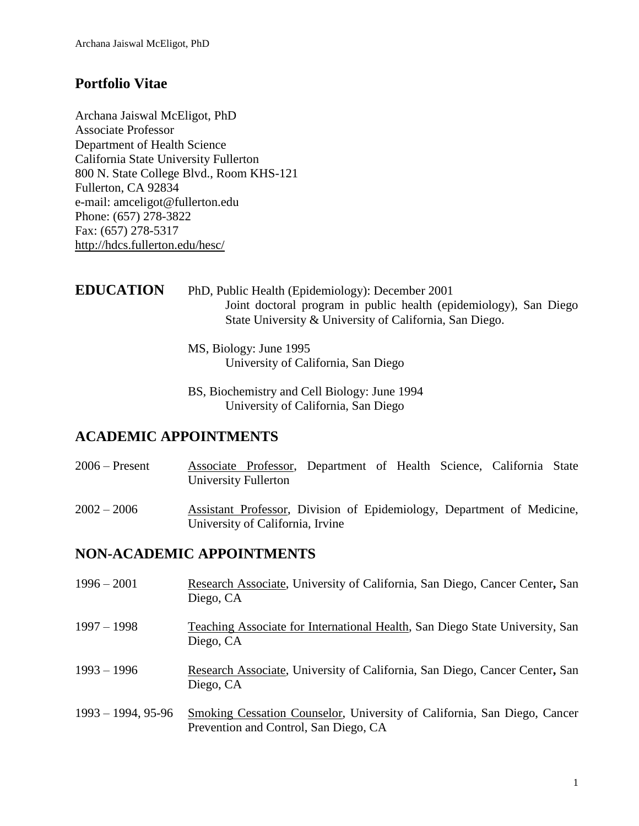# **Portfolio Vitae**

Archana Jaiswal McEligot, PhD Associate Professor Department of Health Science California State University Fullerton 800 N. State College Blvd., Room KHS-121 Fullerton, CA 92834 e-mail: amceligot@fullerton.edu Phone: (657) 278-3822 Fax: (657) 278-5317 <http://hdcs.fullerton.edu/hesc/>

| <b>EDUCATION</b> | PhD, Public Health (Epidemiology): December 2001                  |
|------------------|-------------------------------------------------------------------|
|                  | Joint doctoral program in public health (epidemiology), San Diego |
|                  | State University & University of California, San Diego.           |

 MS, Biology: June 1995 University of California, San Diego

BS, Biochemistry and Cell Biology: June 1994 University of California, San Diego

# **ACADEMIC APPOINTMENTS**

| 2006 – Present | Associate Professor, Department of Health Science, California State<br>University Fullerton                |  |  |  |
|----------------|------------------------------------------------------------------------------------------------------------|--|--|--|
| $2002 - 2006$  | Assistant Professor, Division of Epidemiology, Department of Medicine,<br>University of California, Irvine |  |  |  |

# **NON-ACADEMIC APPOINTMENTS**

| $1996 - 2001$        | Research Associate, University of California, San Diego, Cancer Center, San<br>Diego, CA                          |
|----------------------|-------------------------------------------------------------------------------------------------------------------|
| $1997 - 1998$        | Teaching Associate for International Health, San Diego State University, San<br>Diego, CA                         |
| $1993 - 1996$        | Research Associate, University of California, San Diego, Cancer Center, San<br>Diego, CA                          |
| $1993 - 1994, 95-96$ | Smoking Cessation Counselor, University of California, San Diego, Cancer<br>Prevention and Control, San Diego, CA |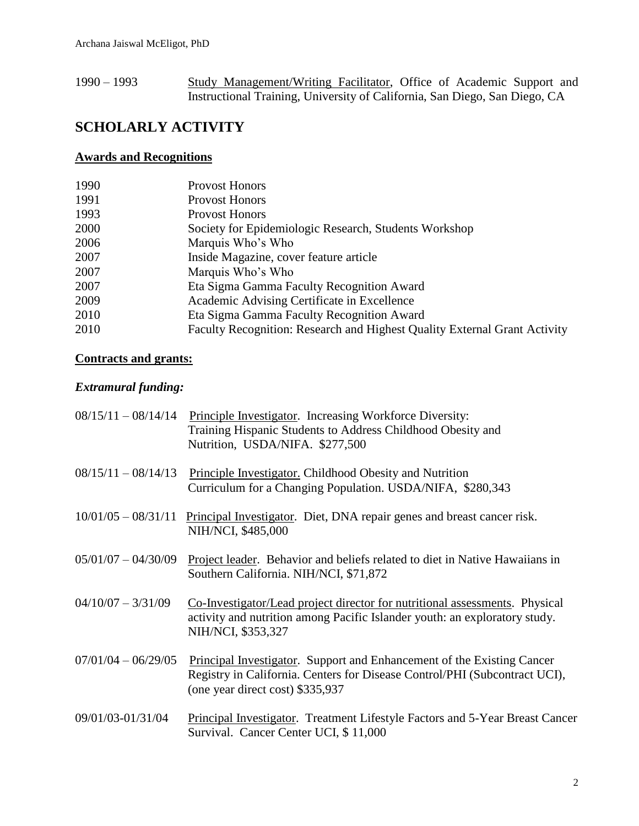1990 – 1993 Study Management/Writing Facilitator, Office of Academic Support and Instructional Training, University of California, San Diego, San Diego, CA

# **SCHOLARLY ACTIVITY**

# **Awards and Recognitions**

| 1990 | <b>Provost Honors</b>                                                     |
|------|---------------------------------------------------------------------------|
| 1991 | <b>Provost Honors</b>                                                     |
| 1993 | <b>Provost Honors</b>                                                     |
| 2000 | Society for Epidemiologic Research, Students Workshop                     |
| 2006 | Marquis Who's Who                                                         |
| 2007 | Inside Magazine, cover feature article                                    |
| 2007 | Marquis Who's Who                                                         |
| 2007 | Eta Sigma Gamma Faculty Recognition Award                                 |
| 2009 | Academic Advising Certificate in Excellence                               |
| 2010 | Eta Sigma Gamma Faculty Recognition Award                                 |
| 2010 | Faculty Recognition: Research and Highest Quality External Grant Activity |

# **Contracts and grants:**

# *Extramural funding:*

|                       | $08/15/11 - 08/14/14$ Principle Investigator. Increasing Workforce Diversity:<br>Training Hispanic Students to Address Childhood Obesity and<br>Nutrition, USDA/NIFA. \$277,500                 |
|-----------------------|-------------------------------------------------------------------------------------------------------------------------------------------------------------------------------------------------|
| $08/15/11 - 08/14/13$ | Principle Investigator. Childhood Obesity and Nutrition<br>Curriculum for a Changing Population. USDA/NIFA, \$280,343                                                                           |
| $10/01/05 - 08/31/11$ | Principal Investigator. Diet, DNA repair genes and breast cancer risk.<br>NIH/NCI, \$485,000                                                                                                    |
| $05/01/07 - 04/30/09$ | Project leader. Behavior and beliefs related to diet in Native Hawaiians in<br>Southern California. NIH/NCI, \$71,872                                                                           |
| $04/10/07 - 3/31/09$  | Co-Investigator/Lead project director for nutritional assessments. Physical<br>activity and nutrition among Pacific Islander youth: an exploratory study.<br>NIH/NCI, \$353,327                 |
| $07/01/04 - 06/29/05$ | <b>Principal Investigator.</b> Support and Enhancement of the Existing Cancer<br>Registry in California. Centers for Disease Control/PHI (Subcontract UCI),<br>(one year direct cost) \$335,937 |
| 09/01/03-01/31/04     | Principal Investigator. Treatment Lifestyle Factors and 5-Year Breast Cancer<br>Survival. Cancer Center UCI, \$11,000                                                                           |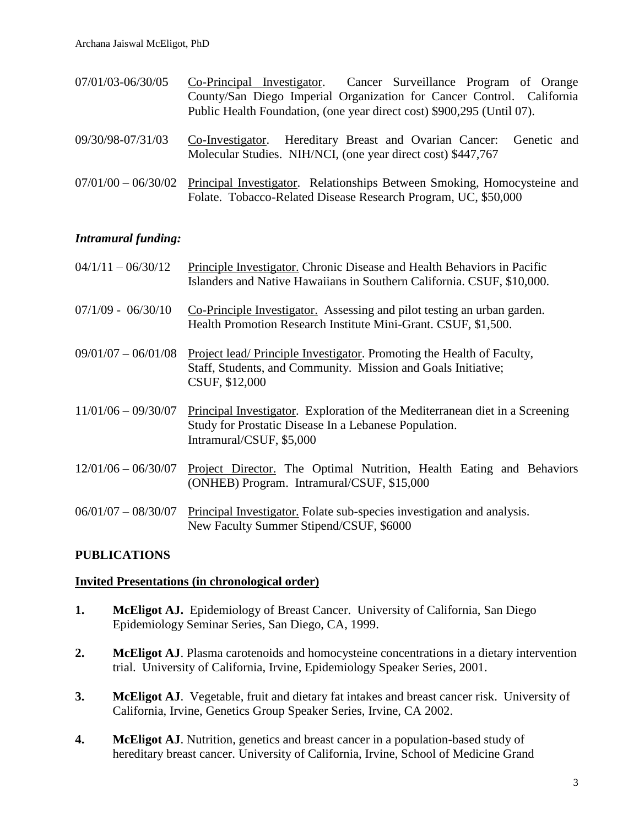| 07/01/03-06/30/05 | Co-Principal Investigator. Cancer Surveillance Program of Orange<br>County/San Diego Imperial Organization for Cancer Control. California<br>Public Health Foundation, (one year direct cost) \$900,295 (Until 07). |
|-------------------|---------------------------------------------------------------------------------------------------------------------------------------------------------------------------------------------------------------------|
| 09/30/98-07/31/03 | Co-Investigator. Hereditary Breast and Ovarian Cancer: Genetic and<br>Molecular Studies. NIH/NCI, (one year direct cost) \$447,767                                                                                  |
|                   | $07/01/00 - 06/30/02$ Principal Investigator. Relationships Between Smoking, Homocysteine and<br>Folate. Tobacco-Related Disease Research Program, UC, \$50,000                                                     |

# *Intramural funding:*

| $04/1/11 - 06/30/12$  | Principle Investigator. Chronic Disease and Health Behaviors in Pacific<br>Islanders and Native Hawaiians in Southern California. CSUF, \$10,000.                 |
|-----------------------|-------------------------------------------------------------------------------------------------------------------------------------------------------------------|
| $07/1/09 - 06/30/10$  | Co-Principle Investigator. Assessing and pilot testing an urban garden.<br>Health Promotion Research Institute Mini-Grant. CSUF, \$1,500.                         |
| $09/01/07 - 06/01/08$ | Project lead/Principle Investigator. Promoting the Health of Faculty,<br>Staff, Students, and Community. Mission and Goals Initiative;<br>CSUF, \$12,000          |
| $11/01/06 - 09/30/07$ | Principal Investigator. Exploration of the Mediterranean diet in a Screening<br>Study for Prostatic Disease In a Lebanese Population.<br>Intramural/CSUF, \$5,000 |
| $12/01/06 - 06/30/07$ | Project Director. The Optimal Nutrition, Health Eating and Behaviors<br>(ONHEB) Program. Intramural/CSUF, \$15,000                                                |
| $06/01/07 - 08/30/07$ | Principal Investigator. Folate sub-species investigation and analysis.<br>New Faculty Summer Stipend/CSUF, \$6000                                                 |

#### **PUBLICATIONS**

#### **Invited Presentations (in chronological order)**

- **1. McEligot AJ.** Epidemiology of Breast Cancer. University of California, San Diego Epidemiology Seminar Series, San Diego, CA, 1999.
- 2. McEligot AJ. Plasma carotenoids and homocysteine concentrations in a dietary intervention trial. University of California, Irvine, Epidemiology Speaker Series, 2001.
- **3. McEligot AJ**. Vegetable, fruit and dietary fat intakes and breast cancer risk. University of California, Irvine, Genetics Group Speaker Series, Irvine, CA 2002.
- **4.** McEligot AJ. Nutrition, genetics and breast cancer in a population-based study of hereditary breast cancer. University of California, Irvine, School of Medicine Grand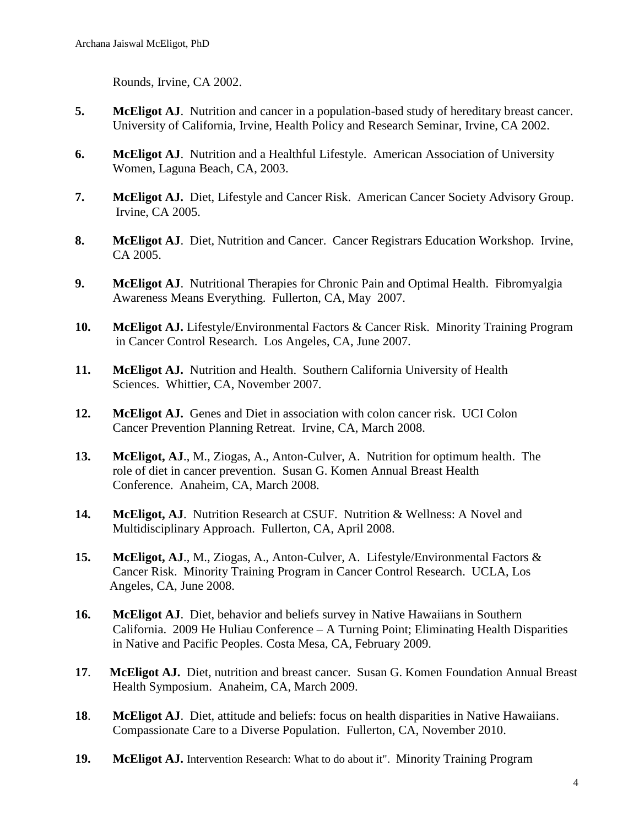Rounds, Irvine, CA 2002.

- **5.** McEligot AJ. Nutrition and cancer in a population-based study of hereditary breast cancer. University of California, Irvine, Health Policy and Research Seminar, Irvine, CA 2002.
- **6. McEligot AJ**. Nutrition and a Healthful Lifestyle. American Association of University Women, Laguna Beach, CA, 2003.
- **7. McEligot AJ.** Diet, Lifestyle and Cancer Risk. American Cancer Society Advisory Group. Irvine, CA 2005.
- **8. McEligot AJ**. Diet, Nutrition and Cancer. Cancer Registrars Education Workshop. Irvine, CA 2005.
- **9. McEligot AJ**. Nutritional Therapies for Chronic Pain and Optimal Health. Fibromyalgia Awareness Means Everything. Fullerton, CA, May 2007.
- 10. **McEligot AJ.** Lifestyle/Environmental Factors & Cancer Risk. Minority Training Program in Cancer Control Research. Los Angeles, CA, June 2007.
- **11. McEligot AJ.** Nutrition and Health. Southern California University of Health Sciences. Whittier, CA, November 2007.
- **12. McEligot AJ.** Genes and Diet in association with colon cancer risk. UCI Colon Cancer Prevention Planning Retreat. Irvine, CA, March 2008.
- **13. McEligot, AJ**., M., Ziogas, A., Anton-Culver, A. Nutrition for optimum health. The role of diet in cancer prevention. Susan G. Komen Annual Breast Health Conference. Anaheim, CA, March 2008.
- **14. McEligot, AJ**. Nutrition Research at CSUF. Nutrition & Wellness: A Novel and Multidisciplinary Approach. Fullerton, CA, April 2008.
- **15. McEligot, AJ**., M., Ziogas, A., Anton-Culver, A. Lifestyle/Environmental Factors & Cancer Risk. Minority Training Program in Cancer Control Research. UCLA, Los Angeles, CA, June 2008.
- **16. McEligot AJ**. Diet, behavior and beliefs survey in Native Hawaiians in Southern California. 2009 He Huliau Conference – A Turning Point; Eliminating Health Disparities in Native and Pacific Peoples. Costa Mesa, CA, February 2009.
- **17**. **McEligot AJ.** Diet, nutrition and breast cancer. Susan G. Komen Foundation Annual Breast Health Symposium. Anaheim, CA, March 2009.
- **18**. **McEligot AJ**. Diet, attitude and beliefs: focus on health disparities in Native Hawaiians. Compassionate Care to a Diverse Population. Fullerton, CA, November 2010.
- **19. McEligot AJ.** Intervention Research: What to do about it". Minority Training Program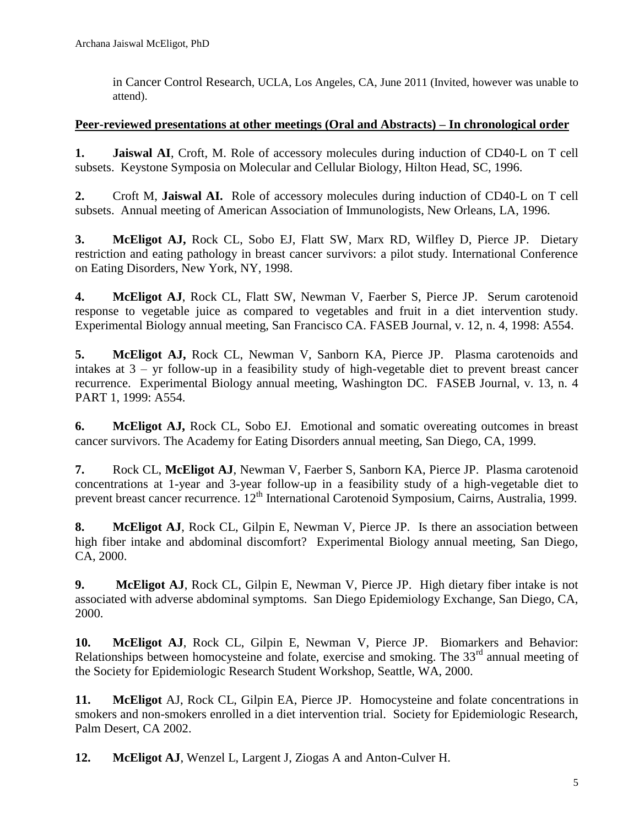in Cancer Control Research, UCLA, Los Angeles, CA, June 2011 (Invited, however was unable to attend).

#### **Peer-reviewed presentations at other meetings (Oral and Abstracts) – In chronological order**

**1. Jaiswal AI**, Croft, M. Role of accessory molecules during induction of CD40-L on T cell subsets. Keystone Symposia on Molecular and Cellular Biology, Hilton Head, SC, 1996.

**2.** Croft M, **Jaiswal AI.** Role of accessory molecules during induction of CD40-L on T cell subsets. Annual meeting of American Association of Immunologists, New Orleans, LA, 1996.

**3. McEligot AJ,** Rock CL, Sobo EJ, Flatt SW, Marx RD, Wilfley D, Pierce JP. Dietary restriction and eating pathology in breast cancer survivors: a pilot study. International Conference on Eating Disorders, New York, NY, 1998.

**4. McEligot AJ**, Rock CL, Flatt SW, Newman V, Faerber S, Pierce JP. Serum carotenoid response to vegetable juice as compared to vegetables and fruit in a diet intervention study. Experimental Biology annual meeting, San Francisco CA. FASEB Journal, v. 12, n. 4, 1998: A554.

**5. McEligot AJ,** Rock CL, Newman V, Sanborn KA, Pierce JP. Plasma carotenoids and intakes at 3 – yr follow-up in a feasibility study of high-vegetable diet to prevent breast cancer recurrence. Experimental Biology annual meeting, Washington DC. FASEB Journal, v. 13, n. 4 PART 1, 1999: A554.

**6. McEligot AJ,** Rock CL, Sobo EJ. Emotional and somatic overeating outcomes in breast cancer survivors. The Academy for Eating Disorders annual meeting, San Diego, CA, 1999.

**7.** Rock CL, **McEligot AJ**, Newman V, Faerber S, Sanborn KA, Pierce JP. Plasma carotenoid concentrations at 1-year and 3-year follow-up in a feasibility study of a high-vegetable diet to prevent breast cancer recurrence. 12<sup>th</sup> International Carotenoid Symposium, Cairns, Australia, 1999.

**8. McEligot AJ**, Rock CL, Gilpin E, Newman V, Pierce JP. Is there an association between high fiber intake and abdominal discomfort? Experimental Biology annual meeting, San Diego, CA, 2000.

**9. McEligot AJ**, Rock CL, Gilpin E, Newman V, Pierce JP. High dietary fiber intake is not associated with adverse abdominal symptoms. San Diego Epidemiology Exchange, San Diego, CA, 2000.

**10. McEligot AJ**, Rock CL, Gilpin E, Newman V, Pierce JP.Biomarkers and Behavior: Relationships between homocysteine and folate, exercise and smoking. The  $33<sup>rd</sup>$  annual meeting of the Society for Epidemiologic Research Student Workshop, Seattle, WA, 2000.

**11. McEligot** AJ, Rock CL, Gilpin EA, Pierce JP. Homocysteine and folate concentrations in smokers and non-smokers enrolled in a diet intervention trial. Society for Epidemiologic Research, Palm Desert, CA 2002.

**12. McEligot AJ**, Wenzel L, Largent J, Ziogas A and Anton-Culver H.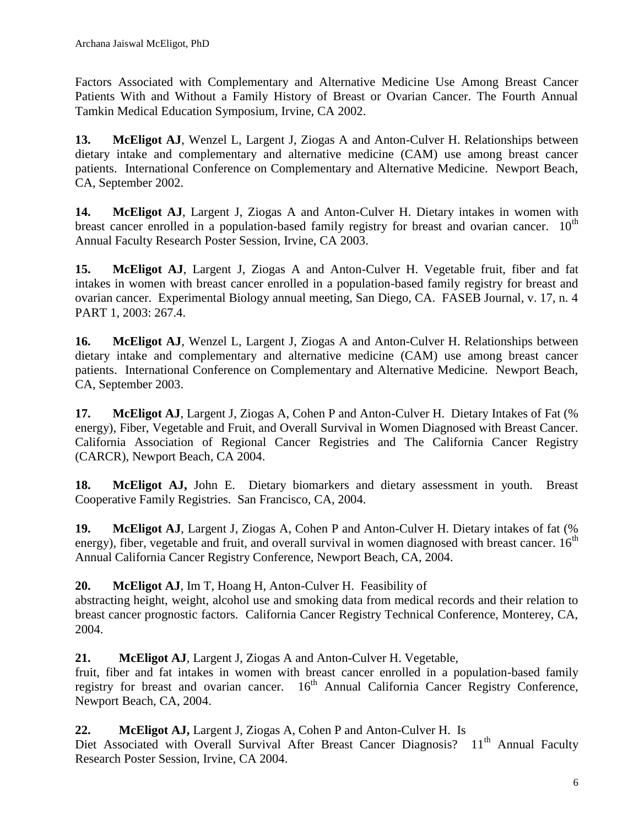Factors Associated with Complementary and Alternative Medicine Use Among Breast Cancer Patients With and Without a Family History of Breast or Ovarian Cancer. The Fourth Annual Tamkin Medical Education Symposium, Irvine, CA 2002.

**13. McEligot AJ**, Wenzel L, Largent J, Ziogas A and Anton-Culver H. Relationships between dietary intake and complementary and alternative medicine (CAM) use among breast cancer patients. International Conference on Complementary and Alternative Medicine. Newport Beach, CA, September 2002.

**14. McEligot AJ**, Largent J, Ziogas A and Anton-Culver H. Dietary intakes in women with breast cancer enrolled in a population-based family registry for breast and ovarian cancer.  $10^{th}$ Annual Faculty Research Poster Session, Irvine, CA 2003.

**15. McEligot AJ**, Largent J, Ziogas A and Anton-Culver H. Vegetable fruit, fiber and fat intakes in women with breast cancer enrolled in a population-based family registry for breast and ovarian cancer. Experimental Biology annual meeting, San Diego, CA. FASEB Journal, v. 17, n. 4 PART 1, 2003: 267.4.

**16. McEligot AJ**, Wenzel L, Largent J, Ziogas A and Anton-Culver H. Relationships between dietary intake and complementary and alternative medicine (CAM) use among breast cancer patients. International Conference on Complementary and Alternative Medicine. Newport Beach, CA, September 2003.

**17. McEligot AJ**, Largent J, Ziogas A, Cohen P and Anton-Culver H. Dietary Intakes of Fat (% energy), Fiber, Vegetable and Fruit, and Overall Survival in Women Diagnosed with Breast Cancer. California Association of Regional Cancer Registries and The California Cancer Registry (CARCR), Newport Beach, CA 2004.

**18. McEligot AJ,** John E. Dietary biomarkers and dietary assessment in youth. Breast Cooperative Family Registries. San Francisco, CA, 2004.

**19. McEligot AJ**, Largent J, Ziogas A, Cohen P and Anton-Culver H. Dietary intakes of fat (% energy), fiber, vegetable and fruit, and overall survival in women diagnosed with breast cancer.  $16<sup>th</sup>$ Annual California Cancer Registry Conference, Newport Beach, CA, 2004.

**20. McEligot AJ**, Im T, Hoang H, Anton-Culver H. Feasibility of

abstracting height, weight, alcohol use and smoking data from medical records and their relation to breast cancer prognostic factors. California Cancer Registry Technical Conference, Monterey, CA, 2004.

**21. McEligot AJ**, Largent J, Ziogas A and Anton-Culver H. Vegetable,

fruit, fiber and fat intakes in women with breast cancer enrolled in a population-based family registry for breast and ovarian cancer. 16<sup>th</sup> Annual California Cancer Registry Conference, Newport Beach, CA, 2004.

**22. McEligot AJ,** Largent J, Ziogas A, Cohen P and Anton-Culver H. Is

Diet Associated with Overall Survival After Breast Cancer Diagnosis? 11<sup>th</sup> Annual Faculty Research Poster Session, Irvine, CA 2004.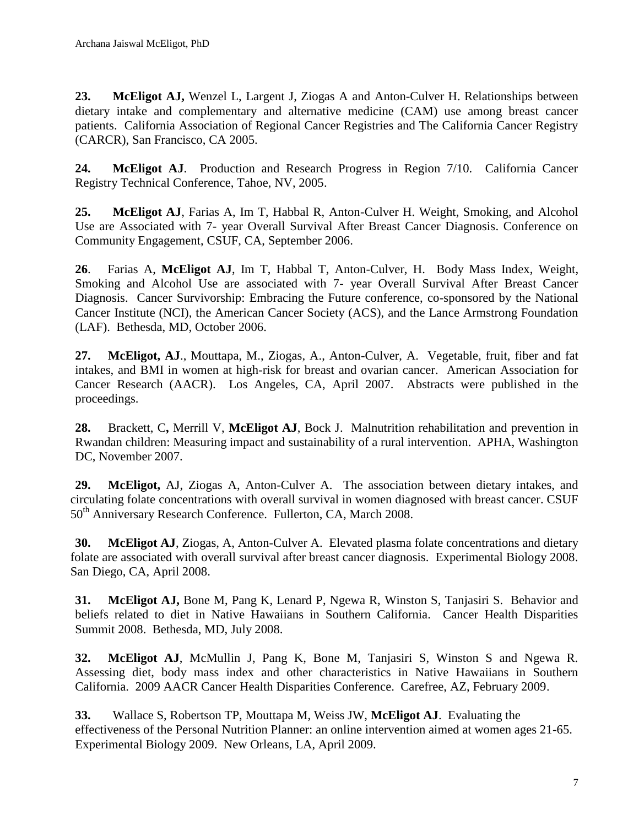**23. McEligot AJ,** Wenzel L, Largent J, Ziogas A and Anton-Culver H. Relationships between dietary intake and complementary and alternative medicine (CAM) use among breast cancer patients. California Association of Regional Cancer Registries and The California Cancer Registry (CARCR), San Francisco, CA 2005.

**24. McEligot AJ**. Production and Research Progress in Region 7/10. California Cancer Registry Technical Conference, Tahoe, NV, 2005.

**25. McEligot AJ**, Farias A, Im T, Habbal R, Anton-Culver H. Weight, Smoking, and Alcohol Use are Associated with 7- year Overall Survival After Breast Cancer Diagnosis. Conference on Community Engagement, CSUF, CA, September 2006.

**26**. Farias A, **McEligot AJ**, Im T, Habbal T, Anton-Culver, H. Body Mass Index, Weight, Smoking and Alcohol Use are associated with 7- year Overall Survival After Breast Cancer Diagnosis. Cancer Survivorship: Embracing the Future conference, co-sponsored by the National Cancer Institute (NCI), the American Cancer Society (ACS), and the Lance Armstrong Foundation (LAF). Bethesda, MD, October 2006.

**27. McEligot, AJ**., Mouttapa, M., Ziogas, A., Anton-Culver, A. Vegetable, fruit, fiber and fat intakes, and BMI in women at high-risk for breast and ovarian cancer. American Association for Cancer Research (AACR). Los Angeles, CA, April 2007. Abstracts were published in the proceedings.

**28.** Brackett, C**,** Merrill V, **McEligot AJ**, Bock J.Malnutrition rehabilitation and prevention in Rwandan children: Measuring impact and sustainability of a rural intervention. APHA, Washington DC, November 2007.

**29. McEligot,** AJ, Ziogas A, Anton-Culver A. The association between dietary intakes, and circulating folate concentrations with overall survival in women diagnosed with breast cancer. CSUF 50<sup>th</sup> Anniversary Research Conference. Fullerton, CA, March 2008.

**30. McEligot AJ**, Ziogas, A, Anton-Culver A. Elevated plasma folate concentrations and dietary folate are associated with overall survival after breast cancer diagnosis. Experimental Biology 2008. San Diego, CA, April 2008.

**31. McEligot AJ,** Bone M, Pang K, Lenard P, Ngewa R, Winston S, Tanjasiri S. Behavior and beliefs related to diet in Native Hawaiians in Southern California. Cancer Health Disparities Summit 2008. Bethesda, MD, July 2008.

**32. McEligot AJ**, McMullin J, Pang K, Bone M, Tanjasiri S, Winston S and Ngewa R. Assessing diet, body mass index and other characteristics in Native Hawaiians in Southern California. 2009 AACR Cancer Health Disparities Conference. Carefree, AZ, February 2009.

**33.** Wallace S, Robertson TP, Mouttapa M, Weiss JW, **McEligot AJ**. Evaluating the effectiveness of the Personal Nutrition Planner: an online intervention aimed at women ages 21-65. Experimental Biology 2009. New Orleans, LA, April 2009.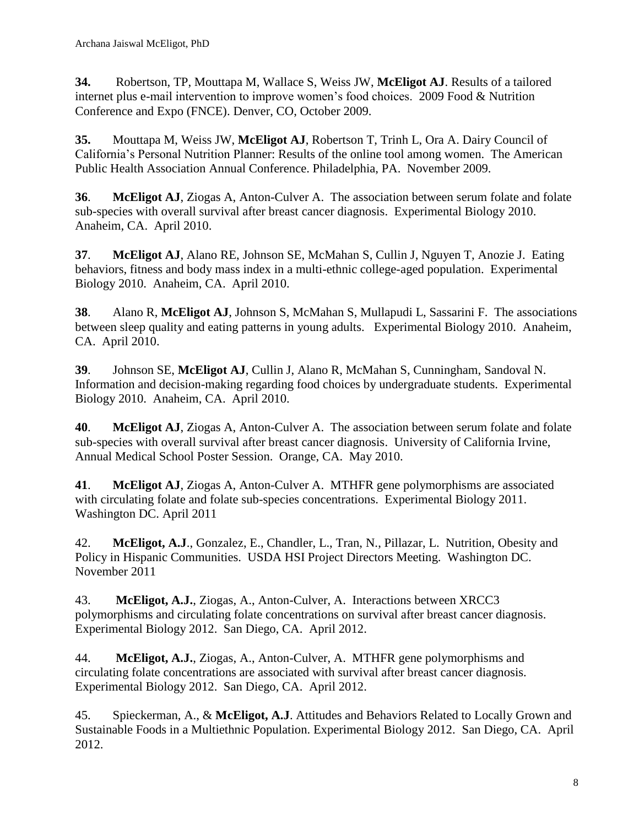**34.** Robertson, TP, Mouttapa M, Wallace S, Weiss JW, **McEligot AJ**. Results of a tailored internet plus e-mail intervention to improve women's food choices. 2009 Food & Nutrition Conference and Expo (FNCE). Denver, CO, October 2009.

**35.** Mouttapa M, Weiss JW, **McEligot AJ**, Robertson T, Trinh L, Ora A. Dairy Council of California's Personal Nutrition Planner: Results of the online tool among women. The American Public Health Association Annual Conference. Philadelphia, PA. November 2009.

**36**. **McEligot AJ**, Ziogas A, Anton-Culver A. The association between serum folate and folate sub-species with overall survival after breast cancer diagnosis. Experimental Biology 2010. Anaheim, CA. April 2010.

**37**. **McEligot AJ**, Alano RE, Johnson SE, McMahan S, Cullin J, Nguyen T, Anozie J. Eating behaviors, fitness and body mass index in a multi-ethnic college-aged population.Experimental Biology 2010. Anaheim, CA. April 2010.

**38**. Alano R, **McEligot AJ**, Johnson S, McMahan S, Mullapudi L, Sassarini F. The associations between sleep quality and eating patterns in young adults. Experimental Biology 2010. Anaheim, CA. April 2010.

**39**. Johnson SE, **McEligot AJ**, Cullin J, Alano R, McMahan S, Cunningham, Sandoval N. Information and decision-making regarding food choices by undergraduate students. Experimental Biology 2010. Anaheim, CA. April 2010.

**40**. **McEligot AJ**, Ziogas A, Anton-Culver A. The association between serum folate and folate sub-species with overall survival after breast cancer diagnosis. University of California Irvine, Annual Medical School Poster Session. Orange, CA. May 2010.

**41**. **McEligot AJ**, Ziogas A, Anton-Culver A. MTHFR gene polymorphisms are associated with circulating folate and folate sub-species concentrations. Experimental Biology 2011. Washington DC. April 2011

42. **McEligot, A.J**., Gonzalez, E., Chandler, L., Tran, N., Pillazar, L. Nutrition, Obesity and Policy in Hispanic Communities. USDA HSI Project Directors Meeting. Washington DC. November 2011

43. **McEligot, A.J.**, Ziogas, A., Anton-Culver, A. Interactions between XRCC3 polymorphisms and circulating folate concentrations on survival after breast cancer diagnosis. Experimental Biology 2012. San Diego, CA. April 2012.

44. **McEligot, A.J.**, Ziogas, A., Anton-Culver, A. MTHFR gene polymorphisms and circulating folate concentrations are associated with survival after breast cancer diagnosis. Experimental Biology 2012. San Diego, CA. April 2012.

45. Spieckerman, A., & **McEligot, A.J**. Attitudes and Behaviors Related to Locally Grown and Sustainable Foods in a Multiethnic Population. Experimental Biology 2012. San Diego, CA. April 2012.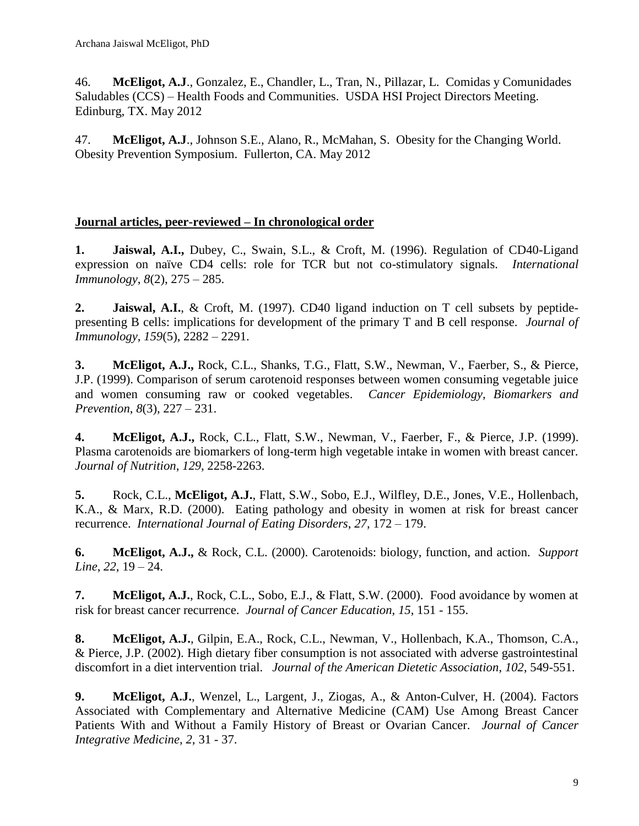46. **McEligot, A.J**., Gonzalez, E., Chandler, L., Tran, N., Pillazar, L. Comidas y Comunidades Saludables (CCS) – Health Foods and Communities. USDA HSI Project Directors Meeting. Edinburg, TX. May 2012

47. **McEligot, A.J**., Johnson S.E., Alano, R., McMahan, S. Obesity for the Changing World. Obesity Prevention Symposium. Fullerton, CA. May 2012

# **Journal articles, peer-reviewed – In chronological order**

**1. Jaiswal, A.I.,** Dubey, C., Swain, S.L., & Croft, M. (1996). Regulation of CD40-Ligand expression on naïve CD4 cells: role for TCR but not co-stimulatory signals. *International Immunology*, *8*(2), 275 – 285.

**2. Jaiswal, A.I.**, & Croft, M. (1997). CD40 ligand induction on T cell subsets by peptidepresenting B cells: implications for development of the primary T and B cell response. *Journal of Immunology*, *159*(5), 2282 – 2291.

**3. McEligot, A.J.,** Rock, C.L., Shanks, T.G., Flatt, S.W., Newman, V., Faerber, S., & Pierce, J.P. (1999). Comparison of serum carotenoid responses between women consuming vegetable juice and women consuming raw or cooked vegetables. *Cancer Epidemiology, Biomarkers and Prevention*, *8*(3), 227 – 231.

**4. McEligot, A.J.,** Rock, C.L., Flatt, S.W., Newman, V., Faerber, F., & Pierce, J.P. (1999). Plasma carotenoids are biomarkers of long-term high vegetable intake in women with breast cancer. *Journal of Nutrition*, *129*, 2258-2263.

**5.** Rock, C.L., **McEligot, A.J.**, Flatt, S.W., Sobo, E.J., Wilfley, D.E., Jones, V.E., Hollenbach, K.A., & Marx, R.D. (2000). Eating pathology and obesity in women at risk for breast cancer recurrence. *International Journal of Eating Disorders*, *27*, 172 – 179.

**6. McEligot, A.J.,** & Rock, C.L. (2000). Carotenoids: biology, function, and action. *Support Line*, *22*, 19 – 24.

**7. McEligot, A.J.**, Rock, C.L., Sobo, E.J., & Flatt, S.W. (2000). Food avoidance by women at risk for breast cancer recurrence. *Journal of Cancer Education*, *15*, 151 - 155.

**8. McEligot, A.J.**, Gilpin, E.A., Rock, C.L., Newman, V., Hollenbach, K.A., Thomson, C.A., & Pierce, J.P. (2002). High dietary fiber consumption is not associated with adverse gastrointestinal discomfort in a diet intervention trial. *Journal of the American Dietetic Association*, *102*, 549-551.

**9. McEligot, A.J.**, Wenzel, L., Largent, J., Ziogas, A., & Anton-Culver, H. (2004). Factors Associated with Complementary and Alternative Medicine (CAM) Use Among Breast Cancer Patients With and Without a Family History of Breast or Ovarian Cancer. *Journal of Cancer Integrative Medicine*, *2*, 31 - 37.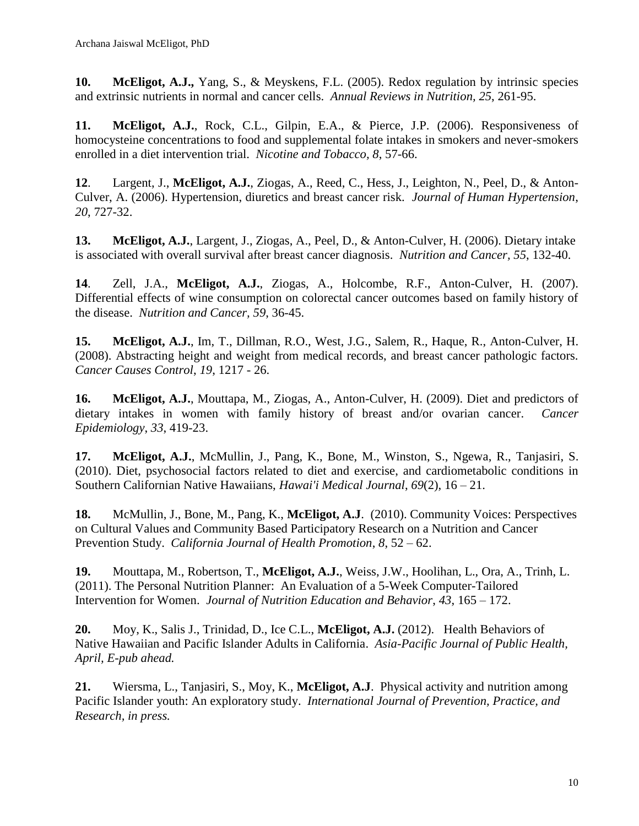**10. McEligot, A.J.,** Yang, S., & Meyskens, F.L. (2005). Redox regulation by intrinsic species and extrinsic nutrients in normal and cancer cells. *Annual Reviews in Nutrition, 25*, 261-95.

**11. McEligot, A.J.**, Rock, C.L., Gilpin, E.A., & Pierce, J.P. (2006). Responsiveness of homocysteine concentrations to food and supplemental folate intakes in smokers and never-smokers enrolled in a diet intervention trial. *Nicotine and Tobacco, 8*, 57-66.

**12**. Largent, J., **McEligot, A.J.**, Ziogas, A., Reed, C., Hess, J., Leighton, N., Peel, D., & Anton-Culver, A. (2006). Hypertension, diuretics and breast cancer risk. *Journal of Human Hypertension*, *20*, 727-32.

**13. McEligot, A.J.**, Largent, J., Ziogas, A., Peel, D., & Anton-Culver, H. (2006). Dietary intake is associated with overall survival after breast cancer diagnosis. *[Nutrition](javascript:AL_get(this,%20) and Cancer, 55*, 132-40.

**14**. Zell, J.A., **McEligot, A.J.**, Ziogas, A., Holcombe, R.F., Anton-Culver, H. (2007). Differential effects of wine consumption on colorectal cancer outcomes based on family history of the disease. *Nutrition and Cancer, 59*, 36-45.

**15. McEligot, A.J.**, Im, T., Dillman, R.O., West, J.G., Salem, R., Haque, R., Anton-Culver, H. (2008). Abstracting height and weight from medical records, and breast cancer pathologic factors. *Cancer Causes Control*, *19*, 1217 - 26.

**16. McEligot, A.J.**, Mouttapa, M., Ziogas, A., Anton-Culver, H. (2009). Diet and predictors of dietary intakes in women with family history of breast and/or ovarian cancer. *Cancer Epidemiology*, *33*, 419-23.

**17. McEligot, A.J.**, McMullin, J., Pang, K., Bone, M., Winston, S., Ngewa, R., Tanjasiri, S. (2010). Diet, psychosocial factors related to diet and exercise, and cardiometabolic conditions in Southern Californian Native Hawaiians, *Hawai'i Medical Journal*, *69*(2), 16 – 21.

**18.** McMullin, J., Bone, M., Pang, K., **McEligot, A.J**. (2010). Community Voices: Perspectives on Cultural Values and Community Based Participatory Research on a Nutrition and Cancer Prevention Study. *California Journal of Health Promotion*, *8*, 52 – 62.

**19.** Mouttapa, M., Robertson, T., **McEligot, A.J.**, Weiss, J.W., Hoolihan, L., Ora, A., Trinh, L. (2011). The Personal Nutrition Planner: An Evaluation of a 5-Week Computer-Tailored Intervention for Women. *Journal of Nutrition Education and Behavior*, *43*, 165 – 172.

**20.** Moy, K., Salis J., Trinidad, D., Ice C.L., **McEligot, A.J.** (2012). Health Behaviors of Native Hawaiian and Pacific Islander Adults in California. *Asia-Pacific Journal of Public Health, April, E-pub ahead.*

**21.** Wiersma, L., Tanjasiri, S., Moy, K., **McEligot, A.J**. Physical activity and nutrition among Pacific Islander youth: An exploratory study. *International Journal of Prevention, Practice, and Research, in press.*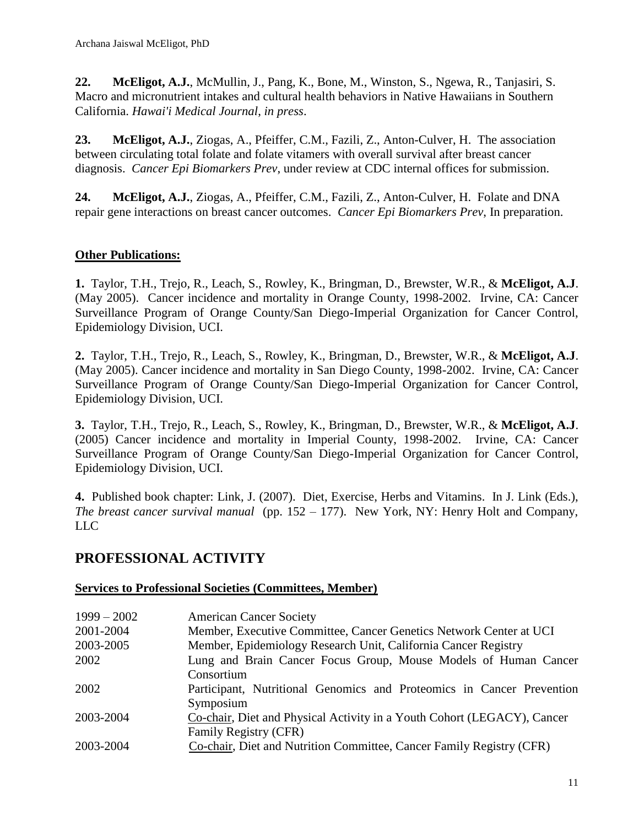**22. McEligot, A.J.**, McMullin, J., Pang, K., Bone, M., Winston, S., Ngewa, R., Tanjasiri, S. Macro and micronutrient intakes and cultural health behaviors in Native Hawaiians in Southern California. *Hawai'i Medical Journal*, *in press*.

**23. McEligot, A.J.**, Ziogas, A., Pfeiffer, C.M., Fazili, Z., Anton-Culver, H. The association between circulating total folate and folate vitamers with overall survival after breast cancer diagnosis. *Cancer Epi Biomarkers Prev*, under review at CDC internal offices for submission.

**24. McEligot, A.J.**, Ziogas, A., Pfeiffer, C.M., Fazili, Z., Anton-Culver, H. Folate and DNA repair gene interactions on breast cancer outcomes. *Cancer Epi Biomarkers Prev*, In preparation.

# **Other Publications:**

**1.** Taylor, T.H., Trejo, R., Leach, S., Rowley, K., Bringman, D., Brewster, W.R., & **McEligot, A.J**. (May 2005). Cancer incidence and mortality in Orange County, 1998-2002. Irvine, CA: Cancer Surveillance Program of Orange County/San Diego-Imperial Organization for Cancer Control, Epidemiology Division, UCI.

**2.** Taylor, T.H., Trejo, R., Leach, S., Rowley, K., Bringman, D., Brewster, W.R., & **McEligot, A.J**. (May 2005). Cancer incidence and mortality in San Diego County, 1998-2002. Irvine, CA: Cancer Surveillance Program of Orange County/San Diego-Imperial Organization for Cancer Control, Epidemiology Division, UCI.

**3.** Taylor, T.H., Trejo, R., Leach, S., Rowley, K., Bringman, D., Brewster, W.R., & **McEligot, A.J**. (2005) Cancer incidence and mortality in Imperial County, 1998-2002. Irvine, CA: Cancer Surveillance Program of Orange County/San Diego-Imperial Organization for Cancer Control, Epidemiology Division, UCI.

**4.** Published book chapter: Link, J. (2007). Diet, Exercise, Herbs and Vitamins. In J. Link (Eds.), *The breast cancer survival manual* (pp. 152 – 177). New York, NY: Henry Holt and Company, LLC

# **PROFESSIONAL ACTIVITY**

#### **Services to Professional Societies (Committees, Member)**

| $1999 - 2002$ | <b>American Cancer Society</b>                                          |
|---------------|-------------------------------------------------------------------------|
| 2001-2004     | Member, Executive Committee, Cancer Genetics Network Center at UCI      |
| 2003-2005     | Member, Epidemiology Research Unit, California Cancer Registry          |
| 2002          | Lung and Brain Cancer Focus Group, Mouse Models of Human Cancer         |
|               | Consortium                                                              |
| 2002          | Participant, Nutritional Genomics and Proteomics in Cancer Prevention   |
|               | Symposium                                                               |
| 2003-2004     | Co-chair, Diet and Physical Activity in a Youth Cohort (LEGACY), Cancer |
|               | Family Registry (CFR)                                                   |
| 2003-2004     | Co-chair, Diet and Nutrition Committee, Cancer Family Registry (CFR)    |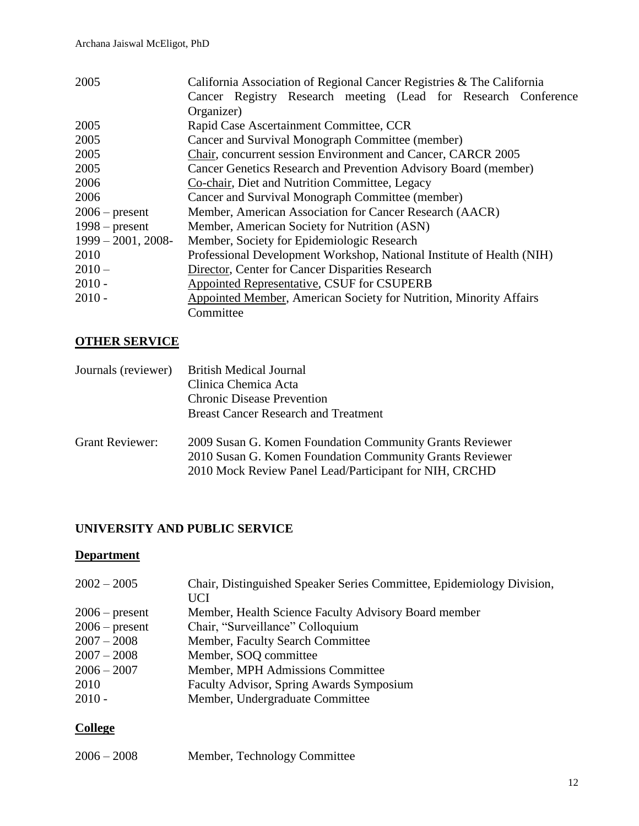| 2005                  | California Association of Regional Cancer Registries & The California |  |  |  |
|-----------------------|-----------------------------------------------------------------------|--|--|--|
|                       | Cancer Registry Research meeting (Lead for Research Conference        |  |  |  |
|                       | Organizer)                                                            |  |  |  |
| 2005                  | Rapid Case Ascertainment Committee, CCR                               |  |  |  |
| 2005                  | Cancer and Survival Monograph Committee (member)                      |  |  |  |
| 2005                  | Chair, concurrent session Environment and Cancer, CARCR 2005          |  |  |  |
| 2005                  | Cancer Genetics Research and Prevention Advisory Board (member)       |  |  |  |
| 2006                  | Co-chair, Diet and Nutrition Committee, Legacy                        |  |  |  |
| 2006                  | Cancer and Survival Monograph Committee (member)                      |  |  |  |
| $2006$ – present      | Member, American Association for Cancer Research (AACR)               |  |  |  |
| $1998$ – present      | Member, American Society for Nutrition (ASN)                          |  |  |  |
| $1999 - 2001$ , 2008- | Member, Society for Epidemiologic Research                            |  |  |  |
| 2010                  | Professional Development Workshop, National Institute of Health (NIH) |  |  |  |
| $2010 -$              | Director, Center for Cancer Disparities Research                      |  |  |  |
| $2010 -$              | <b>Appointed Representative, CSUF for CSUPERB</b>                     |  |  |  |
| $2010 -$              | Appointed Member, American Society for Nutrition, Minority Affairs    |  |  |  |
|                       | Committee                                                             |  |  |  |

# **OTHER SERVICE**

| Journals (reviewer)    | <b>British Medical Journal</b><br>Clinica Chemica Acta<br><b>Chronic Disease Prevention</b>                                                                                                                                   |
|------------------------|-------------------------------------------------------------------------------------------------------------------------------------------------------------------------------------------------------------------------------|
| <b>Grant Reviewer:</b> | <b>Breast Cancer Research and Treatment</b><br>2009 Susan G. Komen Foundation Community Grants Reviewer<br>2010 Susan G. Komen Foundation Community Grants Reviewer<br>2010 Mock Review Panel Lead/Participant for NIH, CRCHD |

# **UNIVERSITY AND PUBLIC SERVICE**

# **Department**

| $2002 - 2005$    | Chair, Distinguished Speaker Series Committee, Epidemiology Division,<br><b>UCI</b> |
|------------------|-------------------------------------------------------------------------------------|
| $2006$ – present | Member, Health Science Faculty Advisory Board member                                |
| $2006$ – present | Chair, "Surveillance" Colloquium                                                    |
| $2007 - 2008$    | Member, Faculty Search Committee                                                    |
| $2007 - 2008$    | Member, SOQ committee                                                               |
| $2006 - 2007$    | Member, MPH Admissions Committee                                                    |
| 2010             | Faculty Advisor, Spring Awards Symposium                                            |
| $2010 -$         | Member, Undergraduate Committee                                                     |
|                  |                                                                                     |

# **College**

| $2006 - 2008$ | Member, Technology Committee |
|---------------|------------------------------|
|---------------|------------------------------|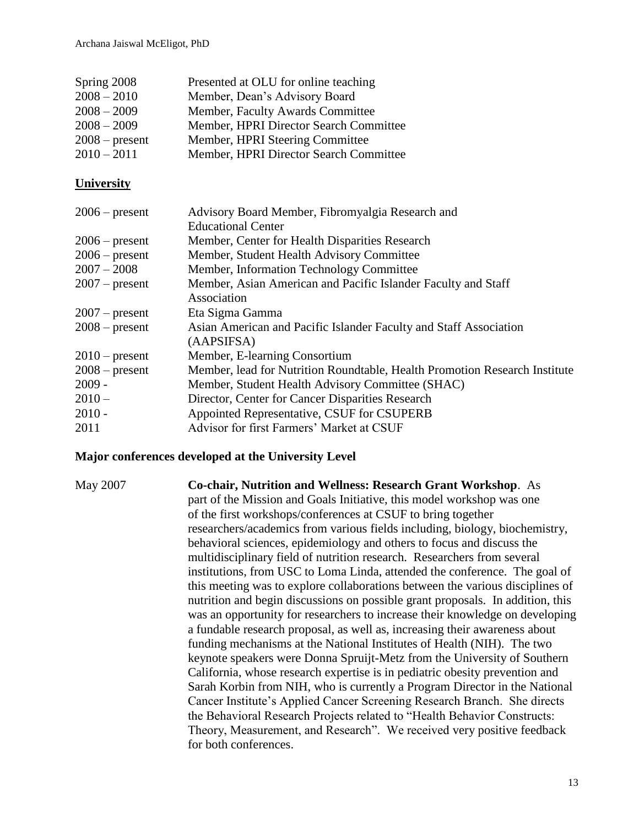| Spring 2008      | Presented at OLU for online teaching   |
|------------------|----------------------------------------|
| $2008 - 2010$    | Member, Dean's Advisory Board          |
| $2008 - 2009$    | Member, Faculty Awards Committee       |
| $2008 - 2009$    | Member, HPRI Director Search Committee |
| $2008$ – present | Member, HPRI Steering Committee        |
| $2010 - 2011$    | Member, HPRI Director Search Committee |

#### **University**

| $2006$ – present | Advisory Board Member, Fibromyalgia Research and                           |
|------------------|----------------------------------------------------------------------------|
|                  | <b>Educational Center</b>                                                  |
| $2006$ – present | Member, Center for Health Disparities Research                             |
| $2006$ – present | Member, Student Health Advisory Committee                                  |
| $2007 - 2008$    | Member, Information Technology Committee                                   |
| $2007$ – present | Member, Asian American and Pacific Islander Faculty and Staff              |
|                  | Association                                                                |
| $2007$ – present | Eta Sigma Gamma                                                            |
| $2008$ – present | Asian American and Pacific Islander Faculty and Staff Association          |
|                  | (AAPSIFSA)                                                                 |
| $2010$ – present | Member, E-learning Consortium                                              |
| $2008$ – present | Member, lead for Nutrition Roundtable, Health Promotion Research Institute |
| $2009 -$         | Member, Student Health Advisory Committee (SHAC)                           |
| $2010 -$         | Director, Center for Cancer Disparities Research                           |
| $2010 -$         | Appointed Representative, CSUF for CSUPERB                                 |
| 2011             | Advisor for first Farmers' Market at CSUF                                  |
|                  |                                                                            |

#### **Major conferences developed at the University Level**

May 2007 **Co-chair, Nutrition and Wellness: Research Grant Workshop**. As part of the Mission and Goals Initiative, this model workshop was one of the first workshops/conferences at CSUF to bring together researchers/academics from various fields including, biology, biochemistry, behavioral sciences, epidemiology and others to focus and discuss the multidisciplinary field of nutrition research. Researchers from several institutions, from USC to Loma Linda, attended the conference. The goal of this meeting was to explore collaborations between the various disciplines of nutrition and begin discussions on possible grant proposals. In addition, this was an opportunity for researchers to increase their knowledge on developing a fundable research proposal, as well as, increasing their awareness about funding mechanisms at the National Institutes of Health (NIH). The two keynote speakers were Donna Spruijt-Metz from the University of Southern California, whose research expertise is in pediatric obesity prevention and Sarah Korbin from NIH, who is currently a Program Director in the National Cancer Institute's Applied Cancer Screening Research Branch. She directs the Behavioral Research Projects related to "Health Behavior Constructs: Theory, Measurement, and Research". We received very positive feedback for both conferences.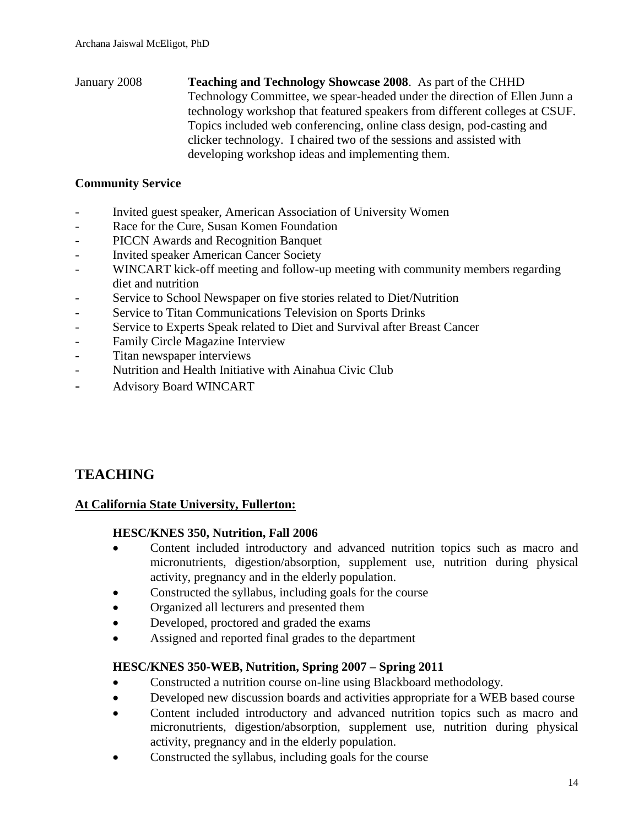January 2008 **Teaching and Technology Showcase 2008**. As part of the CHHD Technology Committee, we spear-headed under the direction of Ellen Junn a technology workshop that featured speakers from different colleges at CSUF. Topics included web conferencing, online class design, pod-casting and clicker technology. I chaired two of the sessions and assisted with developing workshop ideas and implementing them.

# **Community Service**

- Invited guest speaker, American Association of University Women
- Race for the Cure, Susan Komen Foundation
- PICCN Awards and Recognition Banquet
- Invited speaker American Cancer Society
- WINCART kick-off meeting and follow-up meeting with community members regarding diet and nutrition
- Service to School Newspaper on five stories related to Diet/Nutrition
- Service to Titan Communications Television on Sports Drinks
- Service to Experts Speak related to Diet and Survival after Breast Cancer
- Family Circle Magazine Interview
- Titan newspaper interviews
- Nutrition and Health Initiative with Ainahua Civic Club
- Advisory Board WINCART

# **TEACHING**

#### **At California State University, Fullerton:**

#### **HESC/KNES 350, Nutrition, Fall 2006**

- Content included introductory and advanced nutrition topics such as macro and micronutrients, digestion/absorption, supplement use, nutrition during physical activity, pregnancy and in the elderly population.
- Constructed the syllabus, including goals for the course
- Organized all lecturers and presented them
- Developed, proctored and graded the exams
- Assigned and reported final grades to the department

#### **HESC/KNES 350-WEB, Nutrition, Spring 2007 – Spring 2011**

- Constructed a nutrition course on-line using Blackboard methodology.
- Developed new discussion boards and activities appropriate for a WEB based course
- Content included introductory and advanced nutrition topics such as macro and micronutrients, digestion/absorption, supplement use, nutrition during physical activity, pregnancy and in the elderly population.
- Constructed the syllabus, including goals for the course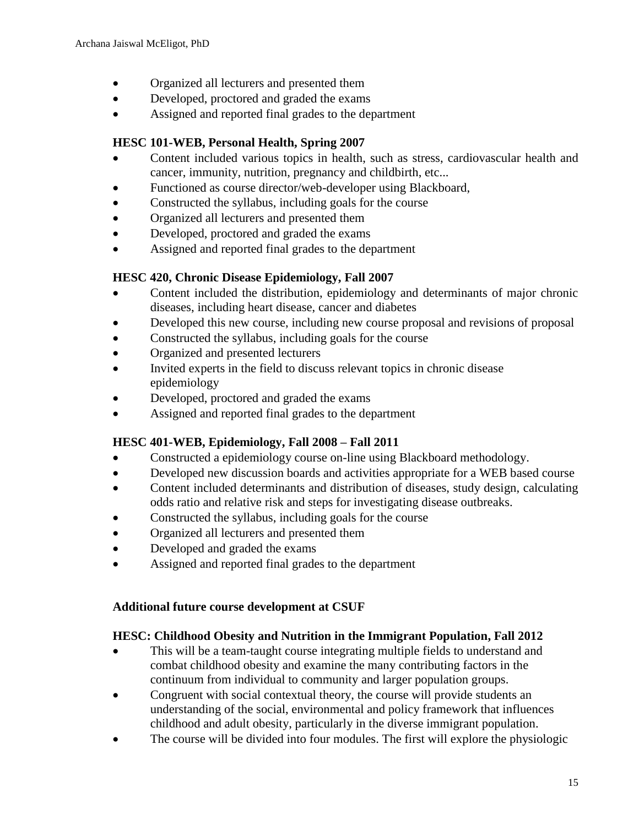- Organized all lecturers and presented them
- Developed, proctored and graded the exams
- Assigned and reported final grades to the department

#### **HESC 101-WEB, Personal Health, Spring 2007**

- Content included various topics in health, such as stress, cardiovascular health and cancer, immunity, nutrition, pregnancy and childbirth, etc...
- Functioned as course director/web-developer using Blackboard,
- Constructed the syllabus, including goals for the course
- Organized all lecturers and presented them
- Developed, proctored and graded the exams
- Assigned and reported final grades to the department

# **HESC 420, Chronic Disease Epidemiology, Fall 2007**

- Content included the distribution, epidemiology and determinants of major chronic diseases, including heart disease, cancer and diabetes
- Developed this new course, including new course proposal and revisions of proposal
- Constructed the syllabus, including goals for the course
- Organized and presented lecturers
- Invited experts in the field to discuss relevant topics in chronic disease epidemiology
- Developed, proctored and graded the exams
- Assigned and reported final grades to the department

# **HESC 401-WEB, Epidemiology, Fall 2008 – Fall 2011**

- Constructed a epidemiology course on-line using Blackboard methodology.
- Developed new discussion boards and activities appropriate for a WEB based course
- Content included determinants and distribution of diseases, study design, calculating odds ratio and relative risk and steps for investigating disease outbreaks.
- Constructed the syllabus, including goals for the course
- Organized all lecturers and presented them
- Developed and graded the exams
- Assigned and reported final grades to the department

#### **Additional future course development at CSUF**

#### **HESC: Childhood Obesity and Nutrition in the Immigrant Population, Fall 2012**

- This will be a team-taught course integrating multiple fields to understand and combat childhood obesity and examine the many contributing factors in the continuum from individual to community and larger population groups.
- Congruent with social contextual theory, the course will provide students an understanding of the social, environmental and policy framework that influences childhood and adult obesity, particularly in the diverse immigrant population.
- The course will be divided into four modules. The first will explore the physiologic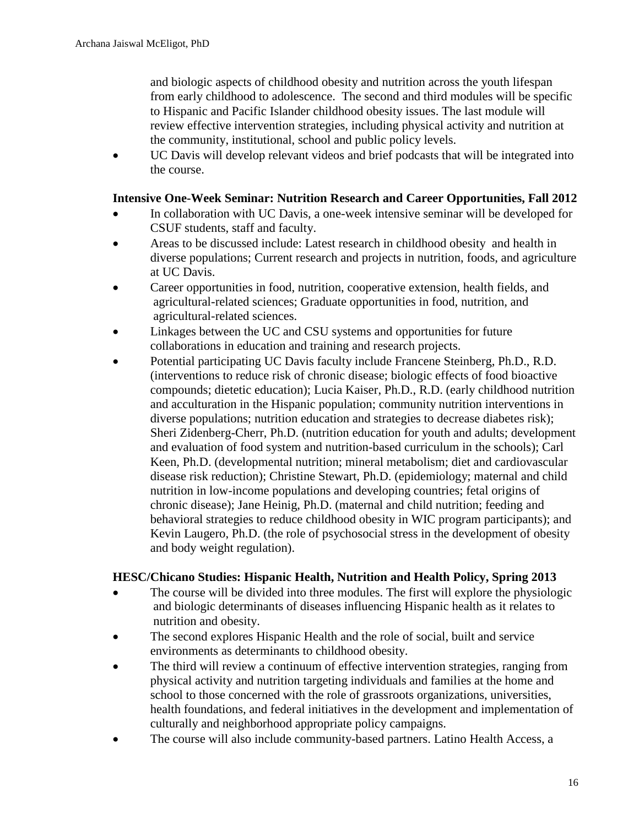and biologic aspects of childhood obesity and nutrition across the youth lifespan from early childhood to adolescence. The second and third modules will be specific to Hispanic and Pacific Islander childhood obesity issues. The last module will review effective intervention strategies, including physical activity and nutrition at the community, institutional, school and public policy levels.

 UC Davis will develop relevant videos and brief podcasts that will be integrated into the course.

#### **Intensive One-Week Seminar: Nutrition Research and Career Opportunities, Fall 2012**

- In collaboration with UC Davis, a one-week intensive seminar will be developed for CSUF students, staff and faculty.
- Areas to be discussed include: Latest research in childhood obesity and health in diverse populations; Current research and projects in nutrition, foods, and agriculture at UC Davis.
- Career opportunities in food, nutrition, cooperative extension, health fields, and agricultural-related sciences; Graduate opportunities in food, nutrition, and agricultural-related sciences.
- Linkages between the UC and CSU systems and opportunities for future collaborations in education and training and research projects.
- Potential participating UC Davis faculty include Francene Steinberg, Ph.D., R.D. (interventions to reduce risk of chronic disease; biologic effects of food bioactive compounds; dietetic education); Lucia Kaiser, Ph.D., R.D. (early childhood nutrition and acculturation in the Hispanic population; community nutrition interventions in diverse populations; nutrition education and strategies to decrease diabetes risk); Sheri Zidenberg-Cherr, Ph.D. (nutrition education for youth and adults; development and evaluation of food system and nutrition-based curriculum in the schools); Carl Keen, Ph.D. (developmental nutrition; mineral metabolism; diet and cardiovascular disease risk reduction); Christine Stewart, Ph.D. (epidemiology; maternal and child nutrition in low-income populations and developing countries; fetal origins of chronic disease); Jane Heinig, Ph.D. (maternal and child nutrition; feeding and behavioral strategies to reduce childhood obesity in WIC program participants); and Kevin Laugero, Ph.D. (the role of psychosocial stress in the development of obesity and body weight regulation).

#### **HESC/Chicano Studies: Hispanic Health, Nutrition and Health Policy, Spring 2013**

- The course will be divided into three modules. The first will explore the physiologic and biologic determinants of diseases influencing Hispanic health as it relates to nutrition and obesity.
- The second explores Hispanic Health and the role of social, built and service environments as determinants to childhood obesity.
- The third will review a continuum of effective intervention strategies, ranging from physical activity and nutrition targeting individuals and families at the home and school to those concerned with the role of grassroots organizations, universities, health foundations, and federal initiatives in the development and implementation of culturally and neighborhood appropriate policy campaigns.
- The course will also include community-based partners. Latino Health Access, a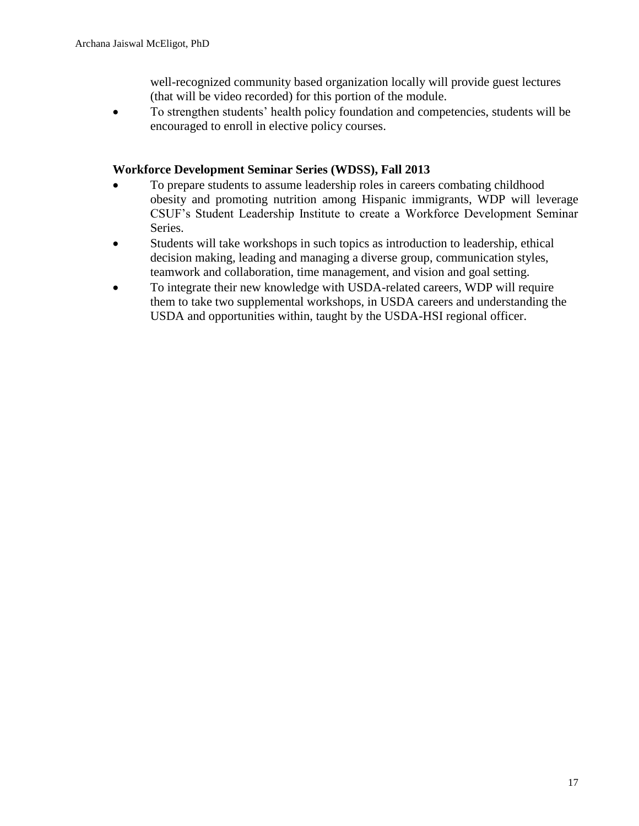well-recognized community based organization locally will provide guest lectures (that will be video recorded) for this portion of the module.

• To strengthen students' health policy foundation and competencies, students will be encouraged to enroll in elective policy courses.

#### **Workforce Development Seminar Series (WDSS), Fall 2013**

- To prepare students to assume leadership roles in careers combating childhood obesity and promoting nutrition among Hispanic immigrants, WDP will leverage CSUF's Student Leadership Institute to create a Workforce Development Seminar Series.
- Students will take workshops in such topics as introduction to leadership, ethical decision making, leading and managing a diverse group, communication styles, teamwork and collaboration, time management, and vision and goal setting.
- To integrate their new knowledge with USDA-related careers, WDP will require them to take two supplemental workshops, in USDA careers and understanding the USDA and opportunities within, taught by the USDA-HSI regional officer.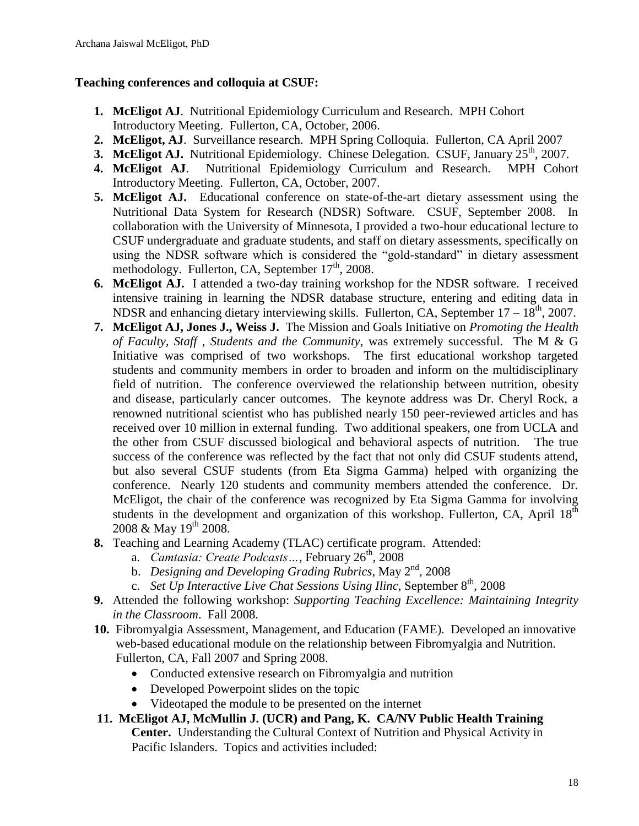#### **Teaching conferences and colloquia at CSUF:**

- **1. McEligot AJ**. Nutritional Epidemiology Curriculum and Research. MPH Cohort Introductory Meeting. Fullerton, CA, October, 2006.
- **2. McEligot, AJ**. Surveillance research. MPH Spring Colloquia. Fullerton, CA April 2007
- **3. McEligot AJ.** Nutritional Epidemiology. Chinese Delegation. CSUF, January 25<sup>th</sup>, 2007.
- **4. McEligot AJ**. Nutritional Epidemiology Curriculum and Research. MPH Cohort Introductory Meeting. Fullerton, CA, October, 2007.
- **5. McEligot AJ.** Educational conference on state-of-the-art dietary assessment using the Nutritional Data System for Research (NDSR) Software. CSUF, September 2008. In collaboration with the University of Minnesota, I provided a two-hour educational lecture to CSUF undergraduate and graduate students, and staff on dietary assessments, specifically on using the NDSR software which is considered the "gold-standard" in dietary assessment methodology. Fullerton, CA, September  $17<sup>th</sup>$ , 2008.
- **6. McEligot AJ.** I attended a two-day training workshop for the NDSR software. I received intensive training in learning the NDSR database structure, entering and editing data in NDSR and enhancing dietary interviewing skills. Fullerton, CA, September  $17 - 18<sup>th</sup>$ , 2007.
- **7. McEligot AJ, Jones J., Weiss J.** The Mission and Goals Initiative on *Promoting the Health of Faculty, Staff , Students and the Community*, was extremely successful. The M & G Initiative was comprised of two workshops. The first educational workshop targeted students and community members in order to broaden and inform on the multidisciplinary field of nutrition. The conference overviewed the relationship between nutrition, obesity and disease, particularly cancer outcomes. The keynote address was Dr. Cheryl Rock, a renowned nutritional scientist who has published nearly 150 peer-reviewed articles and has received over 10 million in external funding. Two additional speakers, one from UCLA and the other from CSUF discussed biological and behavioral aspects of nutrition. The true success of the conference was reflected by the fact that not only did CSUF students attend, but also several CSUF students (from Eta Sigma Gamma) helped with organizing the conference. Nearly 120 students and community members attended the conference. Dr. McEligot, the chair of the conference was recognized by Eta Sigma Gamma for involving students in the development and organization of this workshop. Fullerton, CA, April  $18<sup>th</sup>$ 2008 & May  $19^{th}$  2008.
- **8.** Teaching and Learning Academy (TLAC) certificate program. Attended:
	- a. *Camtasia: Create Podcasts* ..., February 26<sup>th</sup>, 2008
	- b. *Designing and Developing Grading Rubrics*, May 2nd, 2008
	- c. *Set Up Interactive Live Chat Sessions Using Ilinc*, September 8<sup>th</sup>, 2008
- **9.** Attended the following workshop: *Supporting Teaching Excellence: Maintaining Integrity in the Classroom*. Fall 2008.
- **10.** Fibromyalgia Assessment, Management, and Education (FAME). Developed an innovative web-based educational module on the relationship between Fibromyalgia and Nutrition. Fullerton, CA, Fall 2007 and Spring 2008.
	- Conducted extensive research on Fibromyalgia and nutrition
	- Developed Powerpoint slides on the topic
	- Videotaped the module to be presented on the internet
- **11. McEligot AJ, McMullin J. (UCR) and Pang, K. CA/NV Public Health Training Center.** Understanding the Cultural Context of Nutrition and Physical Activity in Pacific Islanders. Topics and activities included: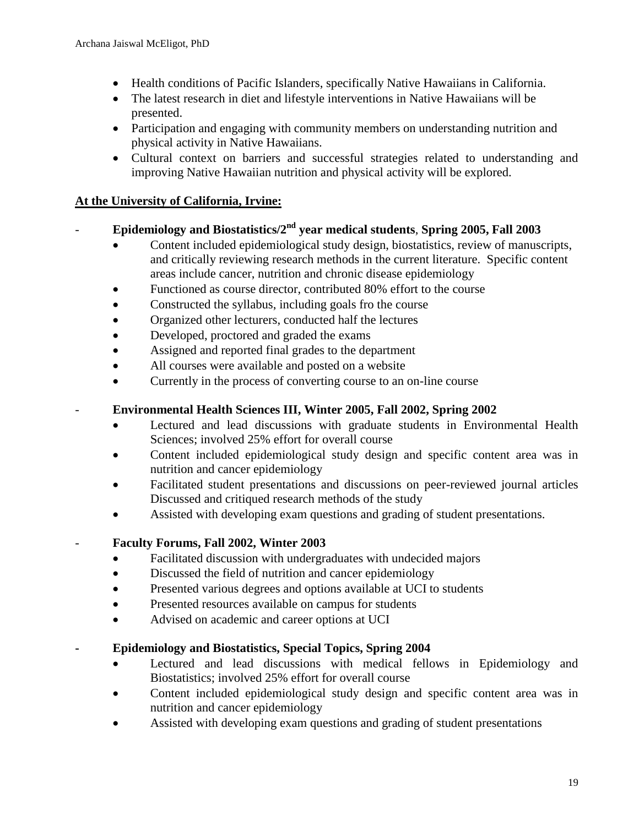- Health conditions of Pacific Islanders, specifically Native Hawaiians in California.
- The latest research in diet and lifestyle interventions in Native Hawaiians will be presented.
- Participation and engaging with community members on understanding nutrition and physical activity in Native Hawaiians.
- Cultural context on barriers and successful strategies related to understanding and improving Native Hawaiian nutrition and physical activity will be explored.

#### **At the University of California, Irvine:**

# - **Epidemiology and Biostatistics/2nd year medical students**, **Spring 2005, Fall 2003**

- Content included epidemiological study design, biostatistics, review of manuscripts, and critically reviewing research methods in the current literature. Specific content areas include cancer, nutrition and chronic disease epidemiology
- Functioned as course director, contributed 80% effort to the course
- Constructed the syllabus, including goals fro the course
- Organized other lecturers, conducted half the lectures
- Developed, proctored and graded the exams
- Assigned and reported final grades to the department
- All courses were available and posted on a website
- Currently in the process of converting course to an on-line course

# - **Environmental Health Sciences III, Winter 2005, Fall 2002, Spring 2002**

- Lectured and lead discussions with graduate students in Environmental Health Sciences; involved 25% effort for overall course
- Content included epidemiological study design and specific content area was in nutrition and cancer epidemiology
- Facilitated student presentations and discussions on peer-reviewed journal articles Discussed and critiqued research methods of the study
- Assisted with developing exam questions and grading of student presentations.

#### - **Faculty Forums, Fall 2002, Winter 2003**

- Facilitated discussion with undergraduates with undecided majors
- Discussed the field of nutrition and cancer epidemiology
- Presented various degrees and options available at UCI to students
- Presented resources available on campus for students
- Advised on academic and career options at UCI

#### **- Epidemiology and Biostatistics, Special Topics, Spring 2004**

- Lectured and lead discussions with medical fellows in Epidemiology and Biostatistics; involved 25% effort for overall course
- Content included epidemiological study design and specific content area was in nutrition and cancer epidemiology
- Assisted with developing exam questions and grading of student presentations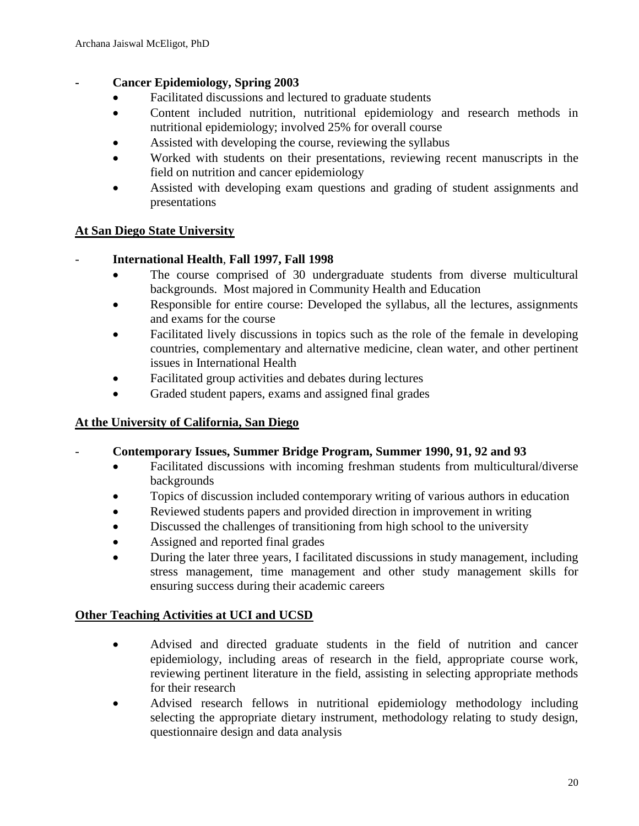#### **- Cancer Epidemiology, Spring 2003**

- Facilitated discussions and lectured to graduate students
- Content included nutrition, nutritional epidemiology and research methods in nutritional epidemiology; involved 25% for overall course
- Assisted with developing the course, reviewing the syllabus
- Worked with students on their presentations, reviewing recent manuscripts in the field on nutrition and cancer epidemiology
- Assisted with developing exam questions and grading of student assignments and presentations

#### **At San Diego State University**

#### - **International Health**, **Fall 1997, Fall 1998**

- The course comprised of 30 undergraduate students from diverse multicultural backgrounds. Most majored in Community Health and Education
- Responsible for entire course: Developed the syllabus, all the lectures, assignments and exams for the course
- Facilitated lively discussions in topics such as the role of the female in developing countries, complementary and alternative medicine, clean water, and other pertinent issues in International Health
- Facilitated group activities and debates during lectures
- Graded student papers, exams and assigned final grades

#### **At the University of California, San Diego**

- **Contemporary Issues, Summer Bridge Program, Summer 1990, 91, 92 and 93**

- Facilitated discussions with incoming freshman students from multicultural/diverse backgrounds
- Topics of discussion included contemporary writing of various authors in education
- Reviewed students papers and provided direction in improvement in writing
- Discussed the challenges of transitioning from high school to the university
- Assigned and reported final grades
- During the later three years, I facilitated discussions in study management, including stress management, time management and other study management skills for ensuring success during their academic careers

#### **Other Teaching Activities at UCI and UCSD**

- Advised and directed graduate students in the field of nutrition and cancer epidemiology, including areas of research in the field, appropriate course work, reviewing pertinent literature in the field, assisting in selecting appropriate methods for their research
- Advised research fellows in nutritional epidemiology methodology including selecting the appropriate dietary instrument, methodology relating to study design, questionnaire design and data analysis